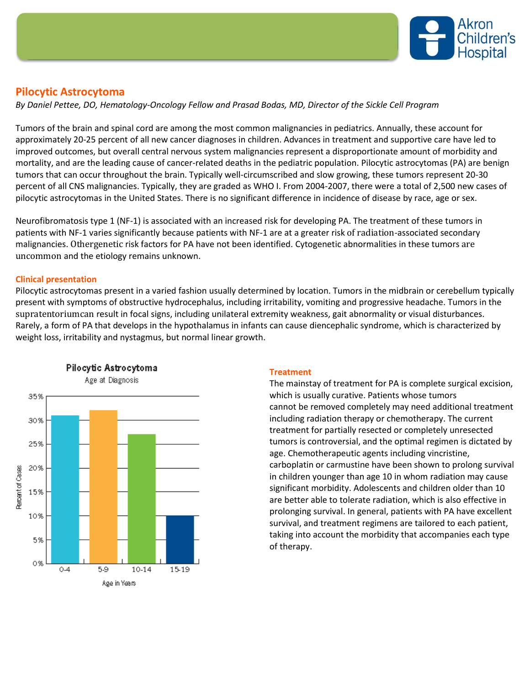

# **Pilocytic Astrocytoma**

*By Daniel Pettee, DO, Hematology-Oncology Fellow and Prasad Bodas, MD, Director of the Sickle Cell Program*

Tumors of the brain and spinal cord are among the most common malignancies in pediatrics. Annually, these account for approximately 20-25 percent of all new cancer diagnoses in children. Advances in treatment and supportive care have led to improved outcomes, but overall central nervous system malignancies represent a disproportionate amount of morbidity and mortality, and are the leading cause of cancer-related deaths in the pediatric population. Pilocytic astrocytomas (PA) are benign tumors that can occur throughout the brain. Typically well-circumscribed and slow growing, these tumors represent 20-30 percent of all CNS malignancies. Typically, they are graded as WHO I. From 2004-2007, there were a total of 2,500 new cases of pilocytic astrocytomas in the United States. There is no significant difference in incidence of disease by race, age or sex.

Neurofibromatosis type 1 (NF-1) is associated with an increased risk for developing PA. The treatment of these tumors in patients with NF-1 varies significantly because patients with NF-1 are at a greater risk of radiation-associated secondary malignancies. Othergenetic risk factors for PA have not been identified. Cytogenetic abnormalities in these tumors are uncommon and the etiology remains unknown.

## **Clinical presentation**

Pilocytic astrocytomas present in a varied fashion usually determined by location. Tumors in the midbrain or cerebellum typically present with symptoms of obstructive hydrocephalus, including irritability, vomiting and progressive headache. Tumors in the supratentoriumcan result in focal signs, including unilateral extremity weakness, gait abnormality or visual disturbances. Rarely, a form of PA that develops in the hypothalamus in infants can cause diencephalic syndrome, which is characterized by weight loss, irritability and nystagmus, but normal linear growth.



### **Treatment**

The mainstay of treatment for PA is complete surgical excision, which is usually curative. Patients whose tumors cannot be removed completely may need additional treatment including radiation therapy or chemotherapy. The current treatment for partially resected or completely unresected tumors is controversial, and the optimal regimen is dictated by age. Chemotherapeutic agents including vincristine, carboplatin or carmustine have been shown to prolong survival in children younger than age 10 in whom radiation may cause significant morbidity. Adolescents and children older than 10 are better able to tolerate radiation, which is also effective in prolonging survival. In general, patients with PA have excellent survival, and treatment regimens are tailored to each patient, taking into account the morbidity that accompanies each type of therapy.